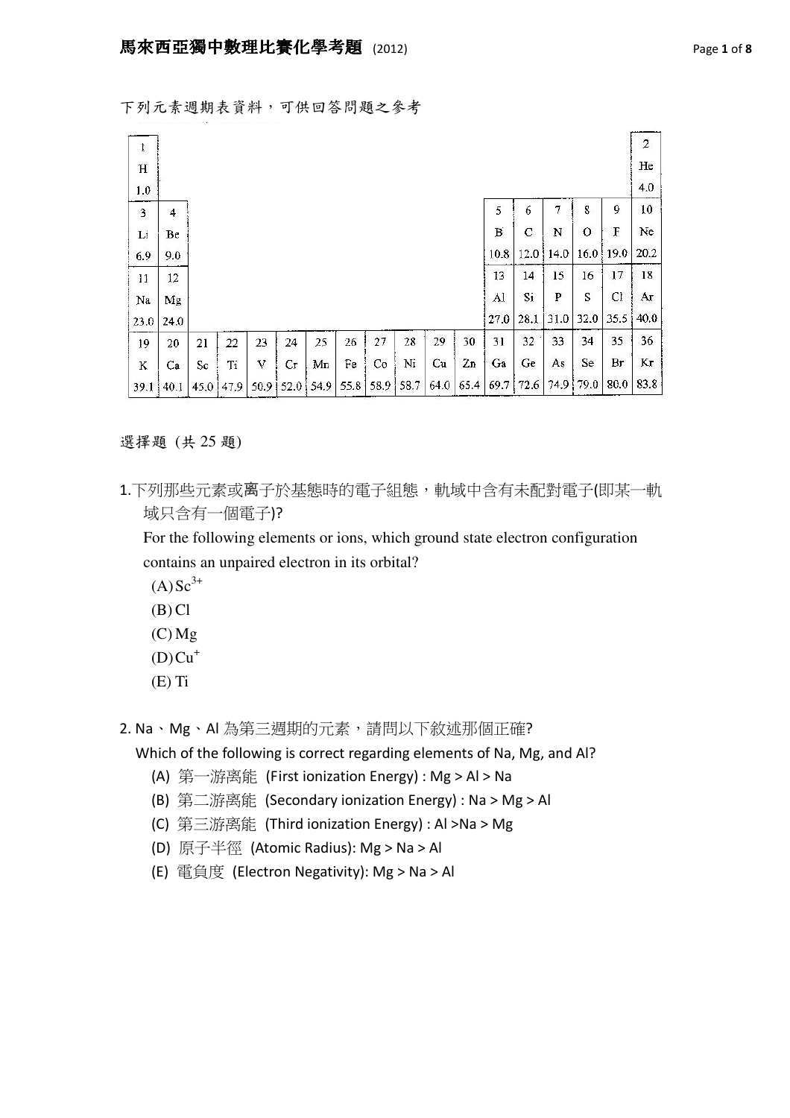| ţ           |      |    |             |    |                      |    |    |                |    |      |      |      |      |      |           |      | 2    |
|-------------|------|----|-------------|----|----------------------|----|----|----------------|----|------|------|------|------|------|-----------|------|------|
| H           |      |    |             |    |                      |    |    |                |    |      |      |      |      |      |           |      | He   |
| 1.0         |      |    |             |    |                      |    |    |                |    |      |      |      |      |      |           |      | 4.0  |
| $\mathbf 3$ | 4    |    |             |    |                      |    |    |                |    |      |      | 5    | 6    | 7    | 8         | 9    | 10   |
| Li          | Be   |    |             |    |                      |    |    |                |    |      |      | B    | C    | N    | $\circ$   | F    | Ne   |
| 6.9         | 9.0  |    |             |    |                      |    |    |                |    |      |      | 10.8 | 12.0 | 14.0 | 16.0      | 19.0 | 20.2 |
| 11          | 12   |    |             |    |                      |    |    |                |    |      |      | 13   | 14   | 15   | 16        | 17   | 18   |
| Na          | Mg   |    |             |    |                      |    |    |                |    |      |      | Al   | Si   | P    | S         | Cl   | Аr   |
| 23.0        | 24.0 |    |             |    |                      |    |    |                |    |      |      | 27.0 | 28.1 | 31.0 | 32.0      | 35.5 | 40.0 |
| 19          | 20   | 21 | 22          | 23 | 24                   | 25 | 26 | 27             | 28 | 29   | 30   | 31   | 32   | 33   | 34        | 35   | 36   |
| K           | Ca   | Sc | Ti          | v  | Сr                   | Mп | Fe | Co             | Ni | Cu   | 2n   | Ga   | Ge   | As   | Se        | Br   | Kг   |
| 39.1        | 40.1 |    | 45,0   47.9 |    | $50.9$   52.0   54.9 |    |    | 55.8 58.9 58.7 |    | 64.0 | 65.4 | 69.7 | 72.6 |      | 74.9 79.0 | 80.0 | 83.8 |

選擇題 (共 25 題)

1.下列那些元素或离子於基態時的電子組態,軌域中含有未配對電子(即某一軌 域只含有一個電子)?

For the following elements or ions, which ground state electron configuration contains an unpaired electron in its orbital?

 $(A)$ Sc<sup>3+</sup>

- $(B)$  Cl
- $(C)$  Mg
- $(D)Cu<sup>+</sup>$
- (E) Ti
- 2. Na、Mg、AI 為第三週期的元素,請問以下敘述那個正確?

Which of the following is correct regarding elements of Na, Mg, and Al?

- (A) 第一游离能 (First ionization Energy) : Mg > Al > Na
- (B) 第二游离能 (Secondary ionization Energy) : Na > Mg > Al
- (C) 第三游离能 (Third ionization Energy) : Al >Na > Mg
- (D) 原子半徑 (Atomic Radius): Mg > Na > Al
- (E) 電負度 (Electron Negativity): Mg > Na > Al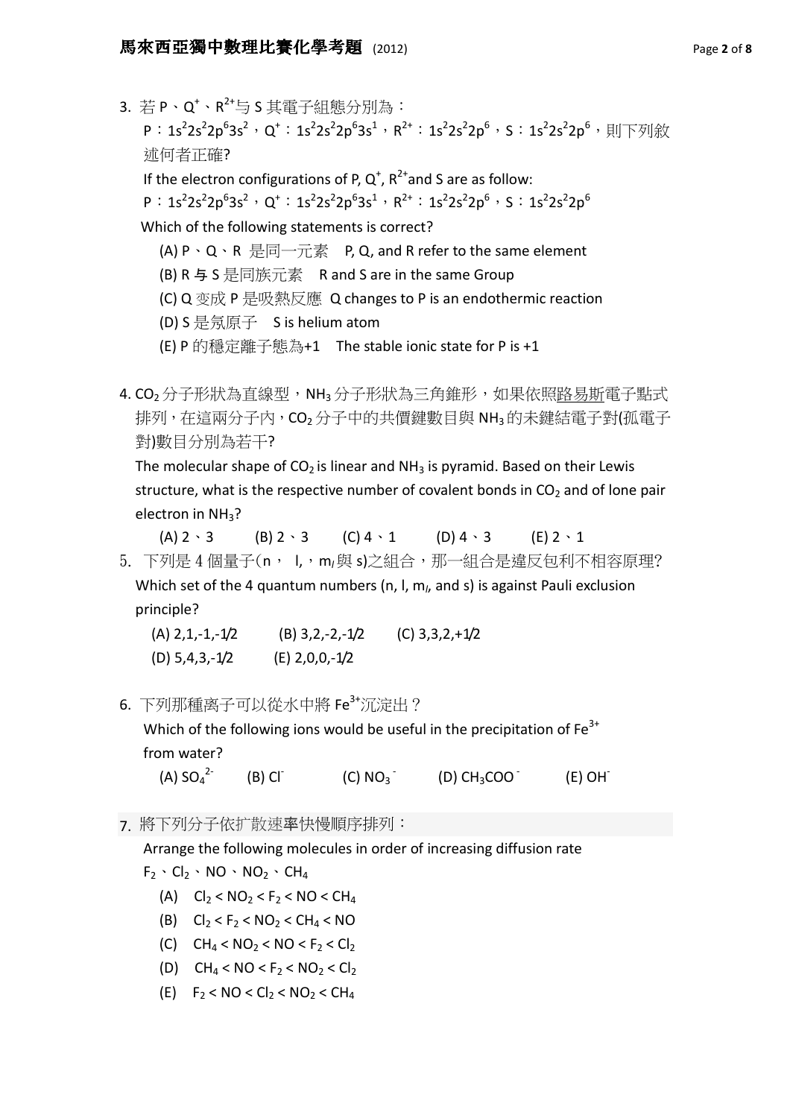3. 若 P、Q<sup>+</sup>、R<sup>2+</sup>与 S 其電子組態分別為:

 ${\sf P}: \sf{1s^22s^22p^63s^2} \cdot Q^*: \sf{1s^22s^22p^63s^1} \cdot R^{2*}: \sf{1s^22s^22p^6} \cdot S: \sf{1s^22s^22p^6} \cdot \sf{N} \rightarrow \sf{N} \times \sf{N}$ 述何者正確?

If the electron configurations of P,  $Q^+$ ,  $R^{2+}$  and S are as follow:

 $P: 1s^22s^22p^63s^2 \cdot Q^*: 1s^22s^22p^63s^1 \cdot R^{2+}: 1s^22s^22p^6 \cdot S: 1s^22s^22p^6$ 

Which of the following statements is correct?

- (A) P、Q、R 是同一元素 P, Q, and R refer to the same element
- (B) R 与 S 是同族元素 R and S are in the same Group
- (C) Q 变成 P 是吸熱反應 Q changes to P is an endothermic reaction
- (D) S 是氖原子 S is helium atom
- (E) P 的穩定離子態為+1 The stable ionic state for P is +1

4. CO<sub>2</sub> 分子形狀為直線型, NH<sub>3</sub> 分子形狀為三角錐形, 如果依照路易斯電子點式 排列, 在這兩分子內, CO<sub>2</sub> 分子中的共價鍵數目與 NH3 的未鍵結電子對(孤電子 對)數目分別為若干?

The molecular shape of  $CO<sub>2</sub>$  is linear and NH<sub>3</sub> is pyramid. Based on their Lewis structure, what is the respective number of covalent bonds in  $CO<sub>2</sub>$  and of lone pair electron in NH<sub>3</sub>?

 $(A) 2 \cdot 3$   $(B) 2 \cdot 3$   $(C) 4 \cdot 1$   $(D) 4 \cdot 3$   $(E) 2 \cdot 1$ 

5. 下列是4個量子(n, l,,m/與 s)之組合,那一組合是違反包利不相容原理? Which set of the 4 quantum numbers (n, l,  $m_l$ , and s) is against Pauli exclusion principle?

 $(A)$  2, 1, - 1, - 1/2 (B) 3, 2, - 2, - 1/2 (C) 3, 3, 2, + 1/2 (D) 5,4,3,-1/2 (E) 2,0,0,-1/2

6. 下列那種离子可以從水中將 Fe<sup>3+</sup>沉淀出?

Which of the following ions would be useful in the precipitation of  $Fe<sup>3+</sup>$ from water?

(A)  $SO_4^2$  $(B)$  Cl<sup>-</sup>  $(C) NO<sub>3</sub>$  $(D)$  CH<sub>3</sub>COO  $E$  (E) OH

7. 將下列分子依扩散速率快慢順序排列:

Arrange the following molecules in order of increasing diffusion rate

 $F_2 \cdot Cl_2 \cdot NO \cdot NO_2 \cdot CH_4$ 

- (A)  $Cl_2 < NO_2 < F_2 < NO < CH_4$
- (B)  $Cl_2 < F_2 < NO_2 < CH_4 < NO$
- (C)  $CH_4 < NO_2 < NO < F_2 < Cl_2$
- (D)  $CH_4 < NO < F_2 < NO_2 < Cl_2$
- (E)  $F_2 < NO < Cl_2 < NO_2 < CH_4$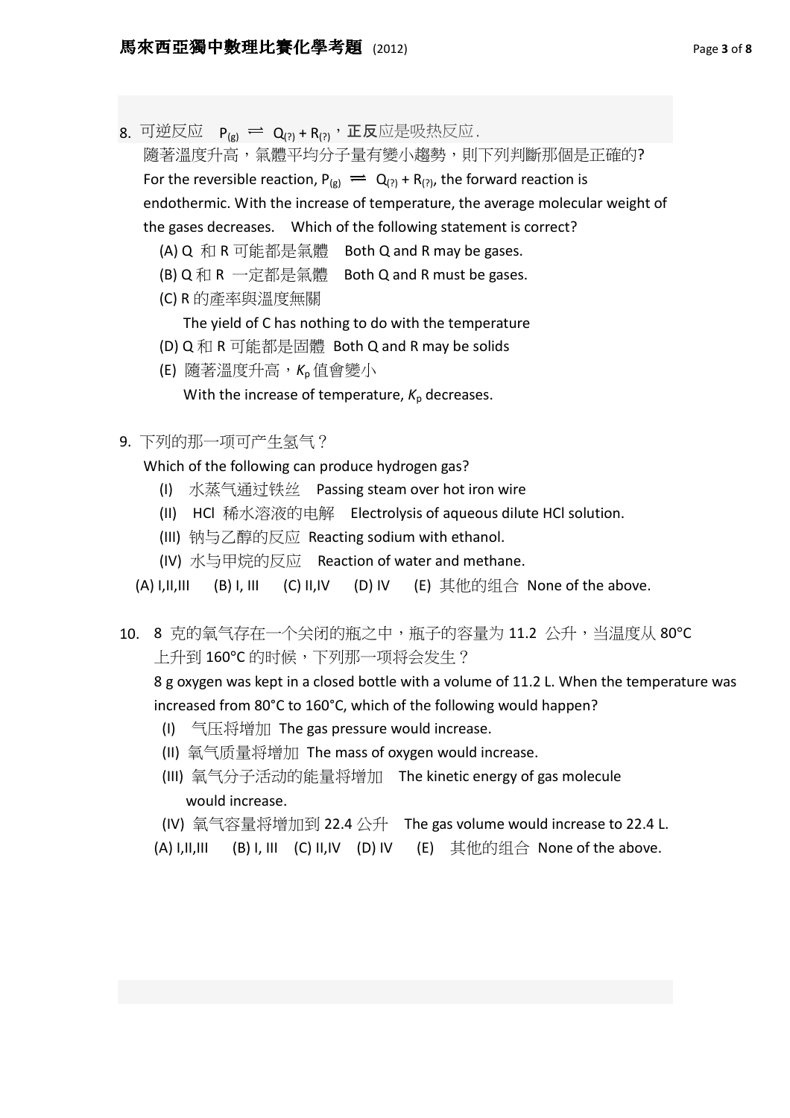8. 可逆反应  $P_{(g)} \rightleftharpoons Q_{(?)} + R_{(?)}$ , 正反应是吸热反应.

隨著溫度升高,氣體平均分子量有變小趨勢,則下列判斷那個是正確的? For the reversible reaction,  $P_{(g)} \equiv Q_{(2)} + R_{(2)}$ , the forward reaction is endothermic. With the increase of temperature, the average molecular weight of the gases decreases. Which of the following statement is correct?

- (A) Q 和 R 可能都是氣體 Both Q and R may be gases.
- (B) Q 和 R 一定都是氣體 Both Q and R must be gases.
- (C) R 的產率與溫度無關

The yield of C has nothing to do with the temperature

- (D) Q 和 R 可能都是固體 Both Q and R may be solids
- (E) 隨著溫度升高, K<sub>n</sub> 值會變小

With the increase of temperature,  $K_p$  decreases.

9. 下列的那一项可产生氢气?

Which of the following can produce hydrogen gas?

- (I) 水蒸气通过铁丝 Passing steam over hot iron wire
- (II) HCl 稀水溶液的电解 Electrolysis of aqueous dilute HCl solution.
- (III) 钠与乙醇的反应 Reacting sodium with ethanol.
- (IV) 水与甲烷的反应 Reaction of water and methane.

(A) I,II,III (B) I, III (C) II,IV (D) IV (E) 其他的组合 None of the above.

10. 8 克的氧气存在一个关闭的瓶之中,瓶子的容量为 11.2 公升,当温度从 80°C 上升到 160℃ 的时候,下列那一项将会发生?

8 g oxygen was kept in a closed bottle with a volume of 11.2 L. When the temperature was increased from 80°C to 160°C, which of the following would happen?

- (I) 气压将增加 The gas pressure would increase.
- (II) 氧气质量将增加 The mass of oxygen would increase.
- (III) 氧气分子活动的能量将增加 The kinetic energy of gas molecule would increase.
- (IV) 氧气容量将增加到 22.4 公升 The gas volume would increase to 22.4 L.
- (A) I,II,III (B) I, III (C) II,IV (D) IV (E) 其他的组合 None of the above.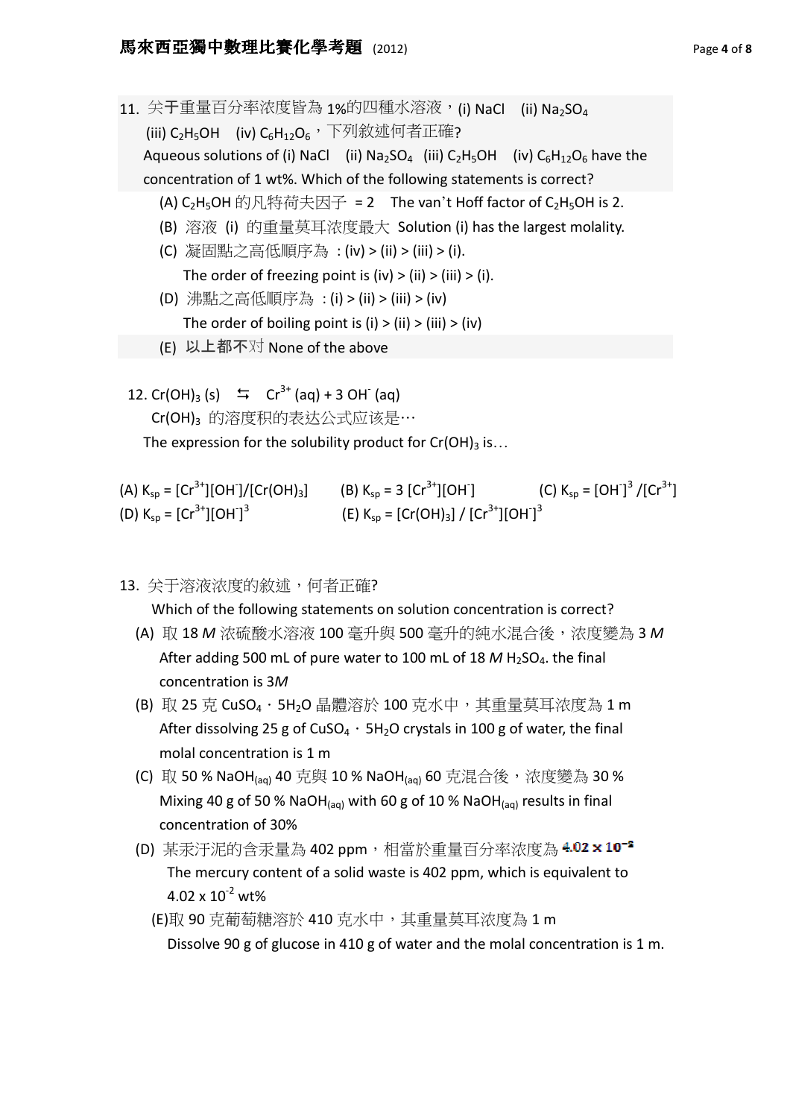- 11. 关于重量百分率浓度皆為 1%的四種水溶液, (i) NaCl (ii) Na<sub>2</sub>SO<sub>4</sub> (iii)  $C_2H_5OH$  (iv)  $C_6H_{12}O_6$ , 下列敘述何者正確? Aqueous solutions of (i) Nacl (ii) Na<sub>2</sub>SO<sub>4</sub> (iii) C<sub>2</sub>H<sub>5</sub>OH (iv) C<sub>6</sub>H<sub>12</sub>O<sub>6</sub> have the concentration of 1 wt%. Which of the following statements is correct? (A) C<sub>2</sub>H<sub>5</sub>OH 的凡特荷夫因子 = 2 The van't Hoff factor of C<sub>2</sub>H<sub>5</sub>OH is 2. (B) 溶液 (i) 的重量莫耳浓度最大 Solution (i) has the largest molality. (C) 凝固點之高低順序為 : (iv) > (ii) > (iii) > (i). The order of freezing point is  $(iv) > (ii) > (iii) > (i)$ . (D) 沸點之高低順序為 : (i) > (ii) > (iii) > (iv)
	- The order of boiling point is  $(i)$  >  $(ii)$  >  $(iii)$  >  $(iv)$
	- (E) 以上都不对 None of the above
- 12. Cr(OH)<sub>3</sub> (s)  $\implies$  Cr<sup>3+</sup> (aq) + 3 OH<sup>-</sup> (aq) Cr(OH)<sup>3</sup> 的溶度积的表达公式应该是…

The expression for the solubility product for  $Cr(OH)_3$  is...

(A) 
$$
K_{sp} = [Cr^{3+}][OH]/[Cr(OH)_3]
$$
  
\n(B)  $K_{sp} = 3 [Cr^{3+}][OH]$   
\n(C)  $K_{sp} = [OH]^3/[Cr^{3+}]$   
\n(E)  $K_{sp} = [Cr(OH)_3]/[Cr^{3+}][OH]^3$ 

13. 关于溶液浓度的敘述, 何者正確?

Which of the following statements on solution concentration is correct?

- (A) 取 18 M 浓硫酸水溶液 100 毫升與 500 毫升的純水混合後,浓度變為 3 M After adding 500 mL of pure water to 100 mL of 18  $M$  H<sub>2</sub>SO<sub>4</sub>. the final concentration is 3M
- (B) 取 25 克 CuSO<sub>4</sub> · 5H<sub>2</sub>O 晶體溶於 100 克水中, 其重量莫耳浓度為 1 m After dissolving 25 g of CuSO<sub>4</sub>  $\cdot$  5H<sub>2</sub>O crystals in 100 g of water, the final molal concentration is 1 m
- (C) 取 50 % NaOH(aq) 40 克與 10 % NaOH(aq) 60 克混合後,浓度變為 30 % Mixing 40 g of 50 % NaOH $_{(aq)}$  with 60 g of 10 % NaOH $_{(aq)}$  results in final concentration of 30%
- (D) 某汞汙泥的含汞量為 402 ppm,相當於重量百分率浓度為 4.02 x 10<sup>-2</sup> The mercury content of a solid waste is 402 ppm, which is equivalent to  $4.02 \times 10^{-2}$  wt%
	- (E)取 90 克葡萄糖溶於 410 克水中,其重量莫耳浓度為 1 m Dissolve 90 g of glucose in 410 g of water and the molal concentration is 1 m.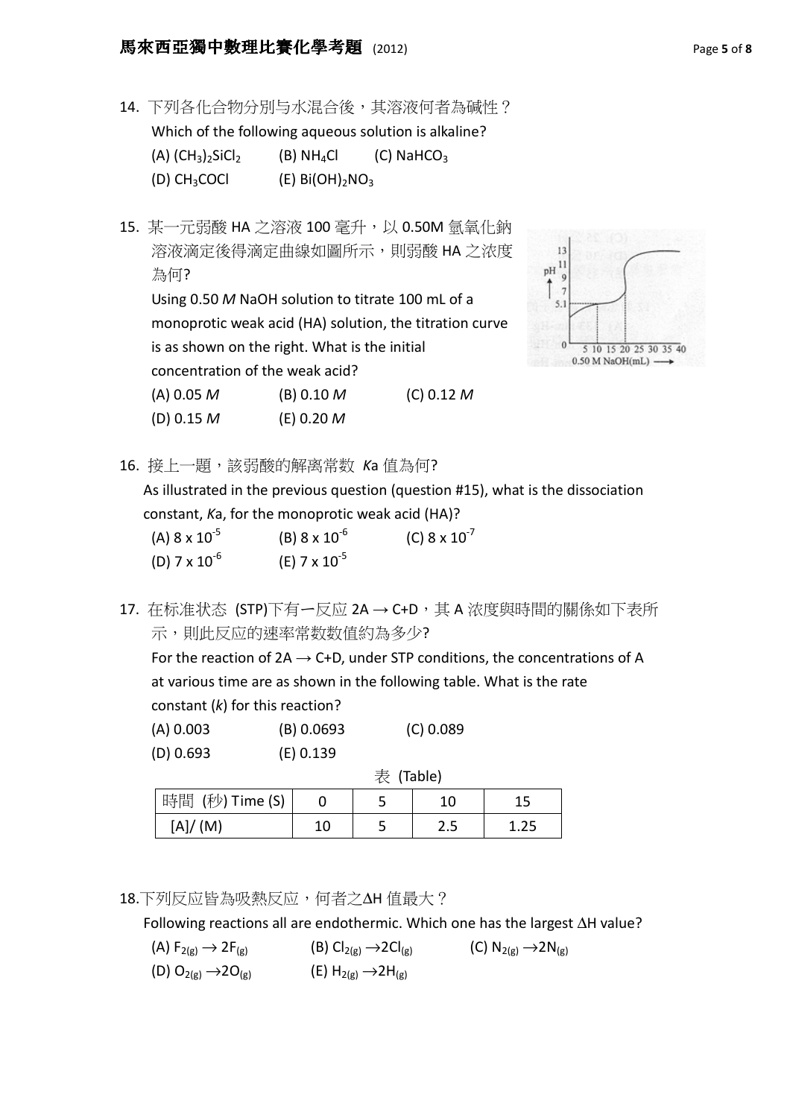## 馬來西亞獨中數理比賽化學考題 (2012) Page 5 of 8

- 14. 下列各化合物分別与水混合後,其溶液何者為碱性? Which of the following aqueous solution is alkaline? (A)  $(CH_3)$ <sub>2</sub>SiCl<sub>2</sub> (B) NH<sub>4</sub>Cl (C) NaHCO<sub>3</sub> (D) CH<sub>3</sub>COCl  $(E) Bi(OH)<sub>2</sub>NO<sub>3</sub>$
- 15. 某一元弱酸 HA 之溶液 100 毫升, 以 0.50M 氫氧化鈉 溶液滴定後得滴定曲線如圖所示, 則弱酸 HA 之浓度 為何? Using 0.50 M NaOH solution to titrate 100 mL of a monoprotic weak acid (HA) solution, the titration curve is as shown on the right. What is the initial concentration of the weak acid? (A)  $0.05 M$  (B)  $0.10 M$  (C)  $0.12 M$  $(D) 0.15 M$  (E) 0.20 M



16. 接上一題,該弱酸的解离常数 Ka 值為何?

 As illustrated in the previous question (question #15), what is the dissociation constant, Ka, for the monoprotic weak acid (HA)?

| (A) $8 \times 10^{-5}$ | (B) $8 \times 10^{-6}$ | (C) $8 \times 10^{-7}$ |
|------------------------|------------------------|------------------------|
| (D) $7 \times 10^{-6}$ | (E) $7 \times 10^{-5}$ |                        |

17. 在标准状态 (STP)下有一反应 2A → C+D, 其 A 浓度與時間的關係如下表所 示,則此反应的速率常数数值約為多少?

For the reaction of  $2A \rightarrow C+D$ , under STP conditions, the concentrations of A at various time are as shown in the following table. What is the rate constant (k) for this reaction?

|  | (A) 0.003 | (B) 0.0693 | (C) 0.089 |
|--|-----------|------------|-----------|
|--|-----------|------------|-----------|

(D) 0.693 (E) 0.139

|                               |    | 表 (Table) |       |      |  |  |  |  |  |
|-------------------------------|----|-----------|-------|------|--|--|--|--|--|
| 時間<br>$(\nexists y)$ Time (S) |    | ͻ         | 10    | 15   |  |  |  |  |  |
| AI/<br>(M)                    | 10 |           | د . ے | 1.25 |  |  |  |  |  |

18.下列反应皆為吸熱反应,何者之∆H 值最大?

Following reactions all are endothermic. Which one has the largest ∆H value?

(A)  $F_{2(g)} \rightarrow 2F_{(g)}$  (B) Cl<sub>2(g)</sub>  $\rightarrow$  2Cl<sub>(g)</sub> (C) N<sub>2(g)</sub>  $\rightarrow$  2N<sub>(g)</sub> (D)  $O_{2(g)} \rightarrow 2O_{(g)}$  (E)  $H_{2(g)} \rightarrow 2H_{(g)}$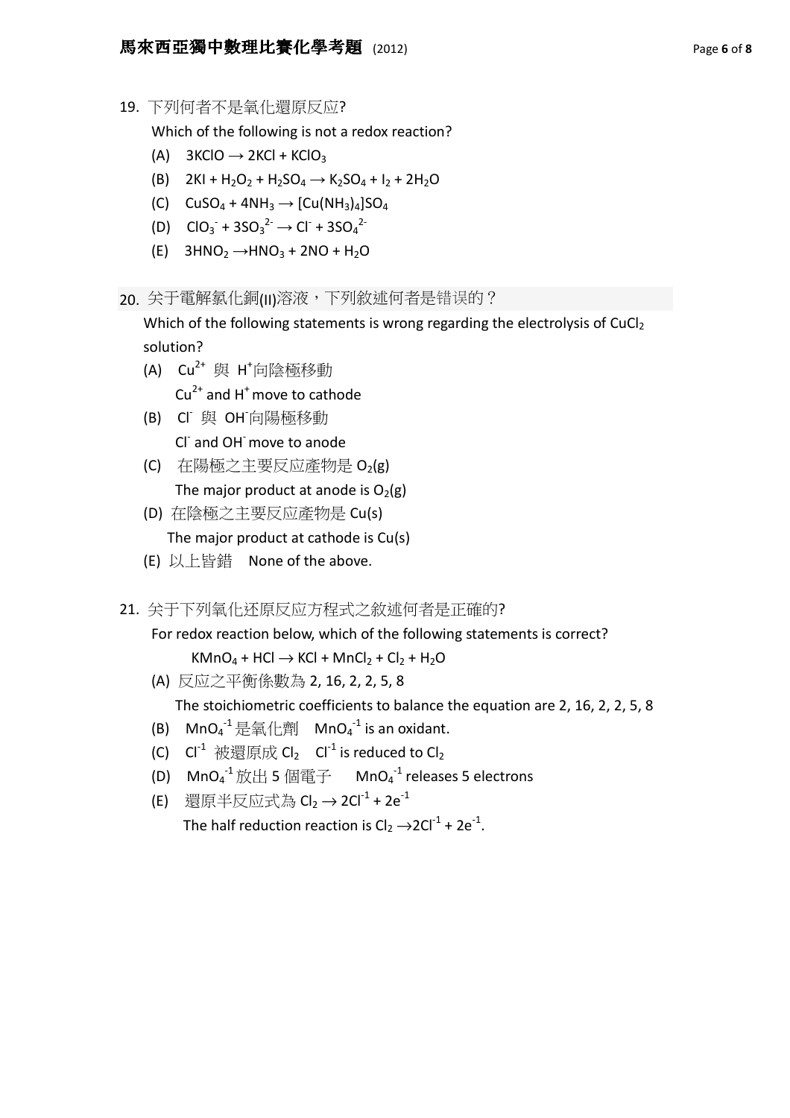19. 下列何者不是氧化還原反应?

Which of the following is not a redox reaction?

- (A)  $3KClO \rightarrow 2KCl + KClO<sub>3</sub>$
- (B)  $2KI + H_2O_2 + H_2SO_4 \rightarrow K_2SO_4 + I_2 + 2H_2O$
- (C)  $CUSO_4 + 4NH_3 \rightarrow [Cu(NH_3)_4]SO_4$
- (D)  $CIO_3 + 3SO_3^2 \rightarrow Cl + 3SO_4^2$ 
	- (E)  $3HNO<sub>2</sub> \rightarrow HNO<sub>3</sub> + 2NO + H<sub>2</sub>O$
- 20. 关于電解氯化銅(II)溶液,下列敘述何者是错误的?

Which of the following statements is wrong regarding the electrolysis of CuCl<sub>2</sub> solution?

 $(A)$  Cu<sup>2+</sup> 與 H<sup>+</sup>向陰極移動

 $Cu<sup>2+</sup>$  and H<sup>+</sup> move to cathode

- (B) Cl- 與 OH-向陽極移動 Cl and OH move to anode
	- (C) 在陽極之主要反应產物是 O2(g) The major product at anode is  $O_2(g)$
	- (D) 在陰極之主要反应產物是 Cu(s) The major product at cathode is Cu(s)
	- (E) 以上皆錯 None of the above.
- 21. 关于下列氧化还原反应方程式之敘述何者是正確的?

For redox reaction below, which of the following statements is correct?

 $KMnO_4 + HCl \rightarrow KCl + MnCl_2 + Cl_2 + H_2O$ 

(A) 反应之平衡係數為 2, 16, 2, 2, 5, 8

The stoichiometric coefficients to balance the equation are 2, 16, 2, 2, 5, 8

- (B)  $\mathsf{MnO_4}^{-1}$ 是氧化劑  $\mathsf{MnO_4}^{-1}$  is an oxidant.
	- (C)  $Cl^{-1}$  被還原成  $Cl_2$   $Cl^{-1}$  is reduced to  $Cl_2$
- (D)  $\,$  MnO $_4^{-1}$  放出 5 個電子  $\,$  MnO $_4^{-1}$  releases 5 electrons
	- (E) 還原半反应式為  $Cl_2$  → 2Cl<sup>-1</sup> + 2e<sup>-1</sup>

The half reduction reaction is  $Cl_2 \rightarrow 2Cl^{-1} + 2e^{-1}$ .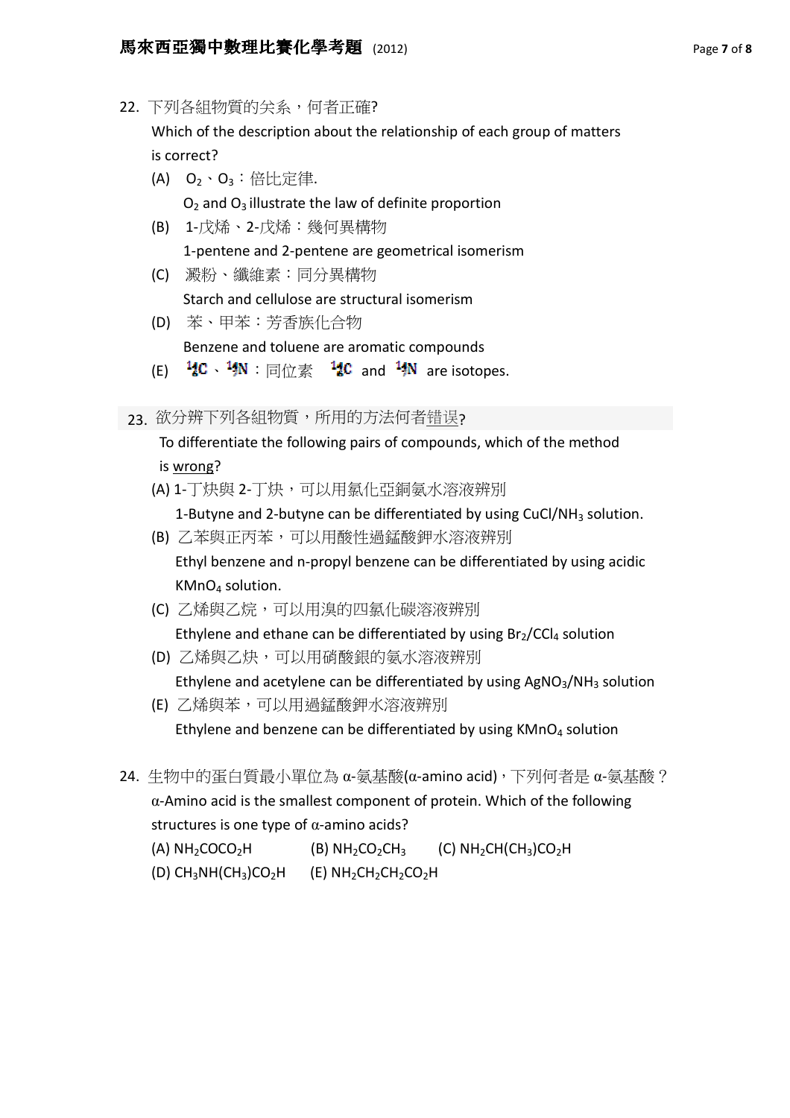22. 下列各組物質的关系,何者正確?

 Which of the description about the relationship of each group of matters is correct?

 $(A)$   $O_2 \cdot O_3$  : 倍比定律.

 $O<sub>2</sub>$  and  $O<sub>3</sub>$  illustrate the law of definite proportion

- (B) 1-戊烯、2-戊烯:幾何異構物 1-pentene and 2-pentene are geometrical isomerism
- (C) 澱粉、纖維素:同分異構物 Starch and cellulose are structural isomerism
- (D) 苯、甲苯:芳香族化合物 Benzene and toluene are aromatic compounds
- (E)  $\frac{14}{6}$ C 、 $\frac{14}{7}$ N : 同位素  $\frac{14}{6}$ C and  $\frac{14}{7}$ N are isotopes.

23. 欲分辨下列各組物質,所用的方法何者错误?

 To differentiate the following pairs of compounds, which of the method is wrong?

(A) 1-丁炔與 2-丁炔,可以用氯化亞銅氨水溶液辨別

1-Butyne and 2-butyne can be differentiated by using CuCl/NH $_3$  solution.

- (B) 乙苯與正丙苯,可以用酸性過錳酸鉀水溶液辨別 Ethyl benzene and n-propyl benzene can be differentiated by using acidic KMnO4 solution.
- (C) 乙烯與乙烷,可以用溴的四氯化碳溶液辨別

Ethylene and ethane can be differentiated by using  $Br<sub>2</sub>/CCl<sub>4</sub>$  solution

(D) 乙烯與乙炔,可以用硝酸銀的氨水溶液辨別

Ethylene and acetylene can be differentiated by using  $AgNO<sub>3</sub>/NH<sub>3</sub>$  solution

(E) 乙烯與苯,可以用過錳酸鉀水溶液辨別

Ethylene and benzene can be differentiated by using  $KMnO<sub>4</sub>$  solution

24. 生物中的蛋白質最小單位為 α-氨基酸(α-amino acid),下列何者是 α-氨基酸? α-Amino acid is the smallest component of protein. Which of the following structures is one type of  $\alpha$ -amino acids?

(A)  $NH<sub>2</sub>COCO<sub>2</sub>H$  (B)  $NH<sub>2</sub>CO<sub>2</sub>CH<sub>3</sub>$  (C)  $NH<sub>2</sub>CH(CH<sub>3</sub>)CO<sub>2</sub>H$ 

(D) CH<sub>3</sub>NH(CH<sub>3</sub>)CO<sub>2</sub>H (E) NH<sub>2</sub>CH<sub>2</sub>CH<sub>2</sub>CO<sub>2</sub>H